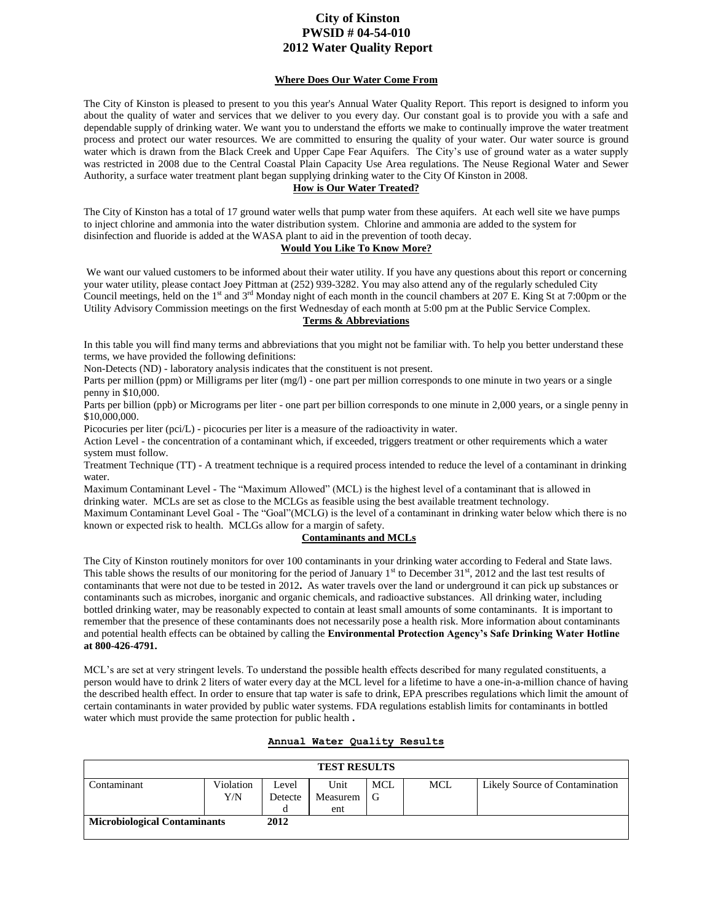# **City of Kinston PWSID # 04-54-010 2012 Water Quality Report**

### **Where Does Our Water Come From**

The City of Kinston is pleased to present to you this year's Annual Water Quality Report. This report is designed to inform you about the quality of water and services that we deliver to you every day. Our constant goal is to provide you with a safe and dependable supply of drinking water. We want you to understand the efforts we make to continually improve the water treatment process and protect our water resources. We are committed to ensuring the quality of your water. Our water source is ground water which is drawn from the Black Creek and Upper Cape Fear Aquifers. The City's use of ground water as a water supply was restricted in 2008 due to the Central Coastal Plain Capacity Use Area regulations. The Neuse Regional Water and Sewer Authority, a surface water treatment plant began supplying drinking water to the City Of Kinston in 2008.

### **How is Our Water Treated?**

The City of Kinston has a total of 17 ground water wells that pump water from these aquifers. At each well site we have pumps to inject chlorine and ammonia into the water distribution system. Chlorine and ammonia are added to the system for disinfection and fluoride is added at the WASA plant to aid in the prevention of tooth decay.

### **Would You Like To Know More?**

We want our valued customers to be informed about their water utility. If you have any questions about this report or concerning your water utility, please contact Joey Pittman at (252) 939-3282. You may also attend any of the regularly scheduled City Council meetings, held on the 1<sup>st</sup> and  $3^{rd}$  Monday night of each month in the council chambers at 207 E. King St at 7:00pm or the Utility Advisory Commission meetings on the first Wednesday of each month at 5:00 pm at the Public Service Complex.

## **Terms & Abbreviations**

In this table you will find many terms and abbreviations that you might not be familiar with. To help you better understand these terms, we have provided the following definitions:

Non-Detects (ND) - laboratory analysis indicates that the constituent is not present.

Parts per million (ppm) or Milligrams per liter (mg/l) - one part per million corresponds to one minute in two years or a single penny in \$10,000.

Parts per billion (ppb) or Micrograms per liter - one part per billion corresponds to one minute in 2,000 years, or a single penny in \$10,000,000.

Picocuries per liter (pci/L) - picocuries per liter is a measure of the radioactivity in water.

Action Level - the concentration of a contaminant which, if exceeded, triggers treatment or other requirements which a water system must follow.

Treatment Technique (TT) - A treatment technique is a required process intended to reduce the level of a contaminant in drinking water.

Maximum Contaminant Level - The "Maximum Allowed" (MCL) is the highest level of a contaminant that is allowed in drinking water. MCLs are set as close to the MCLGs as feasible using the best available treatment technology.

Maximum Contaminant Level Goal - The "Goal"(MCLG) is the level of a contaminant in drinking water below which there is no known or expected risk to health. MCLGs allow for a margin of safety.

## **Contaminants and MCLs**

The City of Kinston routinely monitors for over 100 contaminants in your drinking water according to Federal and State laws. This table shows the results of our monitoring for the period of January  $1<sup>st</sup>$  to December 31 $<sup>st</sup>$ , 2012 and the last test results of</sup> contaminants that were not due to be tested in 2012**.** As water travels over the land or underground it can pick up substances or contaminants such as microbes, inorganic and organic chemicals, and radioactive substances. All drinking water, including bottled drinking water, may be reasonably expected to contain at least small amounts of some contaminants. It is important to remember that the presence of these contaminants does not necessarily pose a health risk. More information about contaminants and potential health effects can be obtained by calling the **Environmental Protection Agency's Safe Drinking Water Hotline at 800-426-4791.**

MCL's are set at very stringent levels. To understand the possible health effects described for many regulated constituents, a person would have to drink 2 liters of water every day at the MCL level for a lifetime to have a one-in-a-million chance of having the described health effect. In order to ensure that tap water is safe to drink, EPA prescribes regulations which limit the amount of certain contaminants in water provided by public water systems. FDA regulations establish limits for contaminants in bottled water which must provide the same protection for public health **.** 

## **Annual Water Quality Results**

| <b>TEST RESULTS</b>                 |           |         |          |            |            |                                |  |
|-------------------------------------|-----------|---------|----------|------------|------------|--------------------------------|--|
| Contaminant                         | Violation | Level   | Unit     | <b>MCL</b> | <b>MCL</b> | Likely Source of Contamination |  |
|                                     | Y/N       | Detecte | Measurem | l G        |            |                                |  |
|                                     |           |         | ent      |            |            |                                |  |
| <b>Microbiological Contaminants</b> |           | 2012    |          |            |            |                                |  |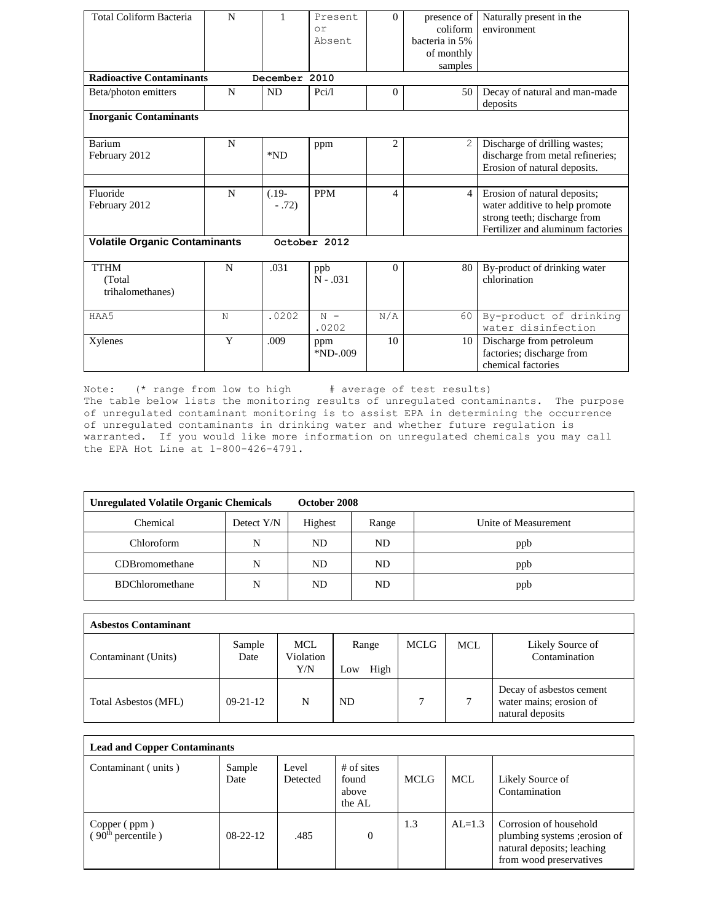| <b>Total Coliform Bacteria</b>             | N |                    | Present<br>or     | $\Omega$       | presence of<br>coliform | Naturally present in the<br>environment                                                                                             |
|--------------------------------------------|---|--------------------|-------------------|----------------|-------------------------|-------------------------------------------------------------------------------------------------------------------------------------|
|                                            |   |                    | Absent            |                | bacteria in 5%          |                                                                                                                                     |
|                                            |   |                    |                   |                | of monthly              |                                                                                                                                     |
|                                            |   |                    |                   |                | samples                 |                                                                                                                                     |
| <b>Radioactive Contaminants</b>            |   | December 2010      |                   |                |                         |                                                                                                                                     |
| Beta/photon emitters                       | N | <b>ND</b>          | Pci/l             | $\Omega$       | 50                      | Decay of natural and man-made<br>deposits                                                                                           |
| <b>Inorganic Contaminants</b>              |   |                    |                   |                |                         |                                                                                                                                     |
| Barium<br>February 2012                    | N | $*ND$              | ppm               | $\overline{2}$ | $\mathfrak{L}$          | Discharge of drilling wastes;<br>discharge from metal refineries;<br>Erosion of natural deposits.                                   |
|                                            |   |                    |                   |                |                         |                                                                                                                                     |
| Fluoride<br>February 2012                  | N | $(.19-$<br>$-.72)$ | <b>PPM</b>        | $\overline{4}$ | $\overline{4}$          | Erosion of natural deposits;<br>water additive to help promote<br>strong teeth; discharge from<br>Fertilizer and aluminum factories |
| <b>Volatile Organic Contaminants</b>       |   |                    | October 2012      |                |                         |                                                                                                                                     |
| <b>TTHM</b><br>(Total)<br>trihalomethanes) | N | .031               | ppb<br>$N - .031$ | $\Omega$       | 80                      | By-product of drinking water<br>chlorination                                                                                        |
| HAA5                                       | N | .0202              | $N -$<br>.0202    | N/A            | 60                      | By-product of drinking<br>water disinfection                                                                                        |
| Xylenes                                    | Y | .009               | ppm<br>$*ND-009$  | 10             | 10                      | Discharge from petroleum<br>factories; discharge from<br>chemical factories                                                         |

Note: (\* range from low to high # average of test results) The table below lists the monitoring results of unregulated contaminants. The purpose of unregulated contaminant monitoring is to assist EPA in determining the occurrence of unregulated contaminants in drinking water and whether future regulation is warranted. If you would like more information on unregulated chemicals you may call the EPA Hot Line at 1-800-426-4791.

| <b>Unregulated Volatile Organic Chemicals</b> | October 2008 |         |       |                      |
|-----------------------------------------------|--------------|---------|-------|----------------------|
| Chemical                                      | Detect Y/N   | Highest | Range | Unite of Measurement |
| Chloroform                                    | N            | ND.     | ND.   | ppb                  |
| CDBromomethane                                | N            | ND      | ND    | ppb                  |
| <b>BDChloromethane</b>                        | N            | ND      | ND    | ppb                  |

| <b>Asbestos Contaminant</b> |                |                                |                      |             |            |                                                                         |
|-----------------------------|----------------|--------------------------------|----------------------|-------------|------------|-------------------------------------------------------------------------|
| Contaminant (Units)         | Sample<br>Date | <b>MCL</b><br>Violation<br>Y/N | Range<br>High<br>Low | <b>MCLG</b> | <b>MCL</b> | Likely Source of<br>Contamination                                       |
| <b>Total Asbestos (MFL)</b> | $09 - 21 - 12$ | N                              | ND.                  | 7           | 7          | Decay of asbestos cement<br>water mains; erosion of<br>natural deposits |

| <b>Lead and Copper Contaminants</b>            |                |                   |                                          |      |          |                                                                                                                  |  |
|------------------------------------------------|----------------|-------------------|------------------------------------------|------|----------|------------------------------------------------------------------------------------------------------------------|--|
| Contaminant (units)                            | Sample<br>Date | Level<br>Detected | $#$ of sites<br>found<br>above<br>the AL | MCLG | MCL.     | Likely Source of<br>Contamination                                                                                |  |
| Copper (ppm)<br>( $90^{\text{th}}$ percentile) | $08-22-12$     | .485              | $\Omega$                                 | 1.3  | $AL=1.3$ | Corrosion of household<br>plumbing systems ; erosion of<br>natural deposits; leaching<br>from wood preservatives |  |